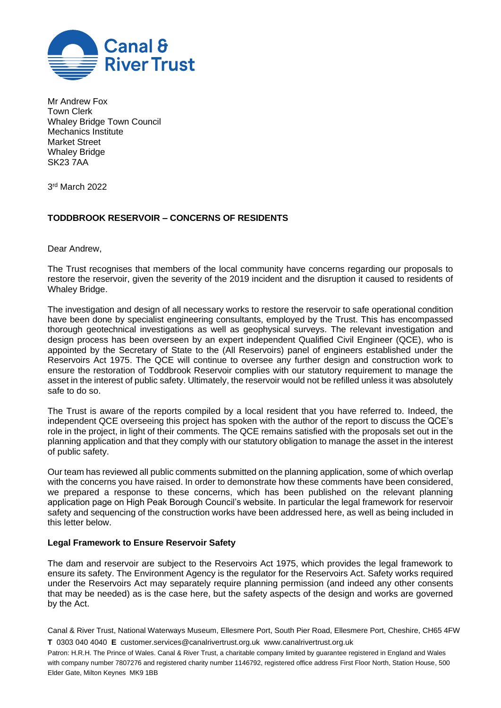

Mr Andrew Fox Town Clerk Whaley Bridge Town Council Mechanics Institute Market Street Whaley Bridge SK23 7AA

3 rd March 2022

## **TODDBROOK RESERVOIR – CONCERNS OF RESIDENTS**

Dear Andrew,

The Trust recognises that members of the local community have concerns regarding our proposals to restore the reservoir, given the severity of the 2019 incident and the disruption it caused to residents of Whaley Bridge.

The investigation and design of all necessary works to restore the reservoir to safe operational condition have been done by specialist engineering consultants, employed by the Trust. This has encompassed thorough geotechnical investigations as well as geophysical surveys. The relevant investigation and design process has been overseen by an expert independent Qualified Civil Engineer (QCE), who is appointed by the Secretary of State to the (All Reservoirs) panel of engineers established under the Reservoirs Act 1975. The QCE will continue to oversee any further design and construction work to ensure the restoration of Toddbrook Reservoir complies with our statutory requirement to manage the asset in the interest of public safety. Ultimately, the reservoir would not be refilled unless it was absolutely safe to do so.

The Trust is aware of the reports compiled by a local resident that you have referred to. Indeed, the independent QCE overseeing this project has spoken with the author of the report to discuss the QCE's role in the project, in light of their comments. The QCE remains satisfied with the proposals set out in the planning application and that they comply with our statutory obligation to manage the asset in the interest of public safety.

Our team has reviewed all public comments submitted on the planning application, some of which overlap with the concerns you have raised. In order to demonstrate how these comments have been considered, we prepared a response to these concerns, which has been published on the relevant planning application page on High Peak Borough Council's website. In particular the legal framework for reservoir safety and sequencing of the construction works have been addressed here, as well as being included in this letter below.

## **Legal Framework to Ensure Reservoir Safety**

The dam and reservoir are subject to the Reservoirs Act 1975, which provides the legal framework to ensure its safety. The Environment Agency is the regulator for the Reservoirs Act. Safety works required under the Reservoirs Act may separately require planning permission (and indeed any other consents that may be needed) as is the case here, but the safety aspects of the design and works are governed by the Act.

Canal & River Trust, National Waterways Museum, Ellesmere Port, South Pier Road, Ellesmere Port, Cheshire, CH65 4FW **T** 0303 040 4040 **E** customer.services@canalrivertrust.org.uk www.canalrivertrust.org.uk

Patron: H.R.H. The Prince of Wales. Canal & River Trust, a charitable company limited by guarantee registered in England and Wales with company number 7807276 and registered charity number 1146792, registered office address First Floor North, Station House, 500 Elder Gate, Milton Keynes MK9 1BB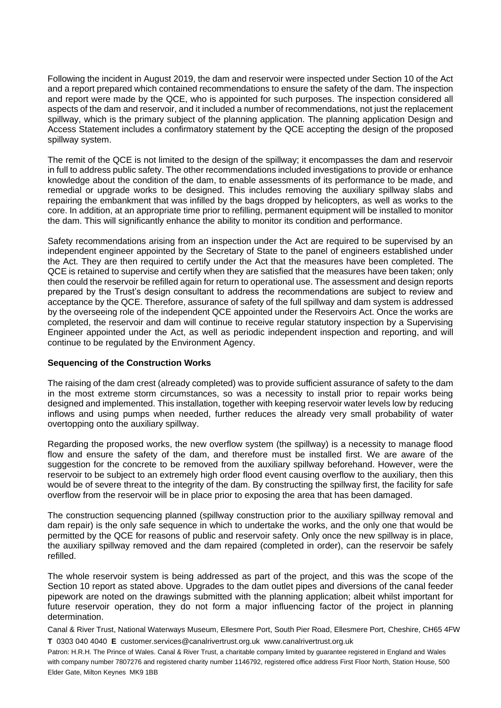Following the incident in August 2019, the dam and reservoir were inspected under Section 10 of the Act and a report prepared which contained recommendations to ensure the safety of the dam. The inspection and report were made by the QCE, who is appointed for such purposes. The inspection considered all aspects of the dam and reservoir, and it included a number of recommendations, not just the replacement spillway, which is the primary subject of the planning application. The planning application Design and Access Statement includes a confirmatory statement by the QCE accepting the design of the proposed spillway system.

The remit of the QCE is not limited to the design of the spillway; it encompasses the dam and reservoir in full to address public safety. The other recommendations included investigations to provide or enhance knowledge about the condition of the dam, to enable assessments of its performance to be made, and remedial or upgrade works to be designed. This includes removing the auxiliary spillway slabs and repairing the embankment that was infilled by the bags dropped by helicopters, as well as works to the core. In addition, at an appropriate time prior to refilling, permanent equipment will be installed to monitor the dam. This will significantly enhance the ability to monitor its condition and performance.

Safety recommendations arising from an inspection under the Act are required to be supervised by an independent engineer appointed by the Secretary of State to the panel of engineers established under the Act. They are then required to certify under the Act that the measures have been completed. The QCE is retained to supervise and certify when they are satisfied that the measures have been taken; only then could the reservoir be refilled again for return to operational use. The assessment and design reports prepared by the Trust's design consultant to address the recommendations are subject to review and acceptance by the QCE. Therefore, assurance of safety of the full spillway and dam system is addressed by the overseeing role of the independent QCE appointed under the Reservoirs Act. Once the works are completed, the reservoir and dam will continue to receive regular statutory inspection by a Supervising Engineer appointed under the Act, as well as periodic independent inspection and reporting, and will continue to be regulated by the Environment Agency.

## **Sequencing of the Construction Works**

The raising of the dam crest (already completed) was to provide sufficient assurance of safety to the dam in the most extreme storm circumstances, so was a necessity to install prior to repair works being designed and implemented. This installation, together with keeping reservoir water levels low by reducing inflows and using pumps when needed, further reduces the already very small probability of water overtopping onto the auxiliary spillway.

Regarding the proposed works, the new overflow system (the spillway) is a necessity to manage flood flow and ensure the safety of the dam, and therefore must be installed first. We are aware of the suggestion for the concrete to be removed from the auxiliary spillway beforehand. However, were the reservoir to be subject to an extremely high order flood event causing overflow to the auxiliary, then this would be of severe threat to the integrity of the dam. By constructing the spillway first, the facility for safe overflow from the reservoir will be in place prior to exposing the area that has been damaged.

The construction sequencing planned (spillway construction prior to the auxiliary spillway removal and dam repair) is the only safe sequence in which to undertake the works, and the only one that would be permitted by the QCE for reasons of public and reservoir safety. Only once the new spillway is in place, the auxiliary spillway removed and the dam repaired (completed in order), can the reservoir be safely refilled.

The whole reservoir system is being addressed as part of the project, and this was the scope of the Section 10 report as stated above. Upgrades to the dam outlet pipes and diversions of the canal feeder pipework are noted on the drawings submitted with the planning application; albeit whilst important for future reservoir operation, they do not form a major influencing factor of the project in planning determination.

Canal & River Trust, National Waterways Museum, Ellesmere Port, South Pier Road, Ellesmere Port, Cheshire, CH65 4FW **T** 0303 040 4040 **E** customer.services@canalrivertrust.org.uk www.canalrivertrust.org.uk

Patron: H.R.H. The Prince of Wales. Canal & River Trust, a charitable company limited by guarantee registered in England and Wales with company number 7807276 and registered charity number 1146792, registered office address First Floor North, Station House, 500 Elder Gate, Milton Keynes MK9 1BB